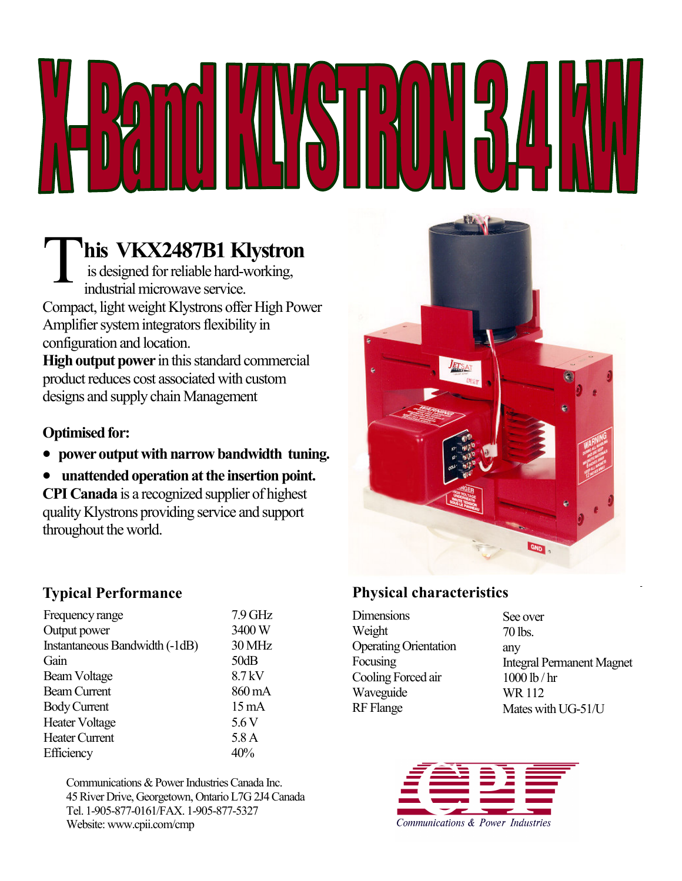his VKX2487B1 Klystron

 is designed for reliable hard-working, industrial microwave service. Compact, light weight Klystrons offer High Power Amplifier system integrators flexibility in configuration and location.

High output power in this standard commercial product reduces cost associated with custom designs and supply chain Management

### Optimised for:

- power output with narrow bandwidth tuning.
- unattended operation at the insertion point.

CPI Canada is a recognized supplier of highest quality Klystrons providing service and support throughout the world.

# GND

### Typical Performance

| Frequency range                | $7.9$ GHz       |
|--------------------------------|-----------------|
| Output power                   | 3400W           |
| Instantaneous Bandwidth (-1dB) | 30 MHz          |
| Gain                           | 50dB            |
| Beam Voltage                   | 8.7 kV          |
| <b>Beam Current</b>            | 860 mA          |
| <b>Body Current</b>            | $15 \text{ mA}$ |
| <b>Heater Voltage</b>          | 5.6V            |
| <b>Heater Current</b>          | 5.8A            |
| Efficiency                     | 40%             |

Communications & Power Industries Canada Inc. 45 River Drive, Georgetown, Ontario L7G 2J4 Canada Tel. 1-905-877-0161/FAX. 1-905-877-5327 Website: www.cpii.com/cmp

## Physical characteristics

**Dimensions** Weight Operating Orientation Focusing Cooling Forced air Waveguide RF Flange

See over 70 lbs. any Integral Permanent Magnet 1000 lb / hr WR 112 Mates with UG-51/U